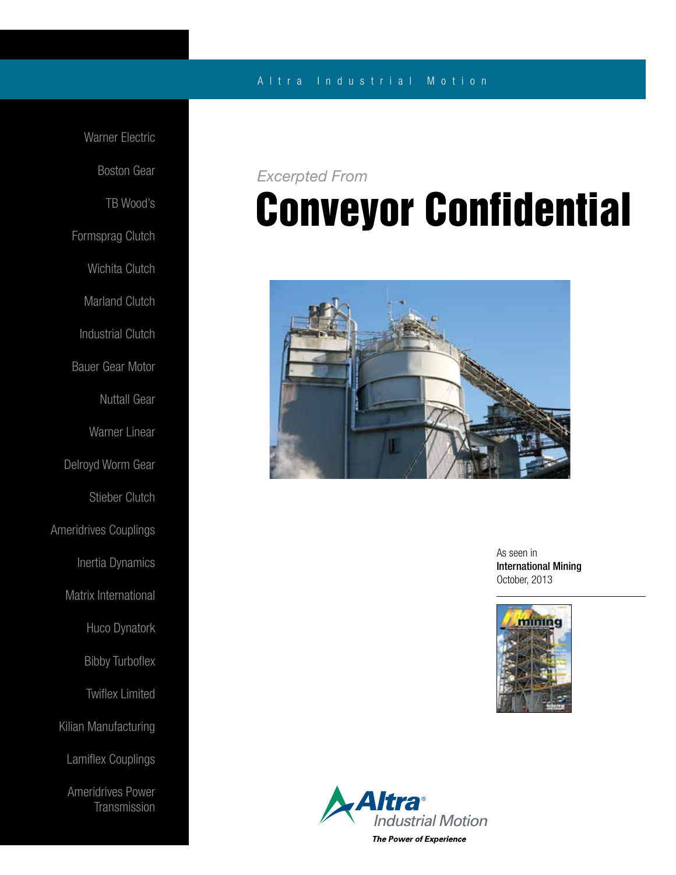### A l t r a Industrial Motion

Warner Electric Boston Gear TB Wood's Formsprag Clutch Wichita Clutch Marland Clutch Industrial Clutch Bauer Gear Motor Nuttall Gear Warner Linear Delroyd Worm Gear Stieber Clutch Ameridrives Couplings Inertia Dynamics Matrix International Huco Dynatork Bibby Turboflex Twiflex Limited Kilian Manufacturing Lamiflex Couplings Ameridrives Power **Transmission** 

### *Excerpted From*

# Conveyor Confidential



As seen in International Mining October, 2013



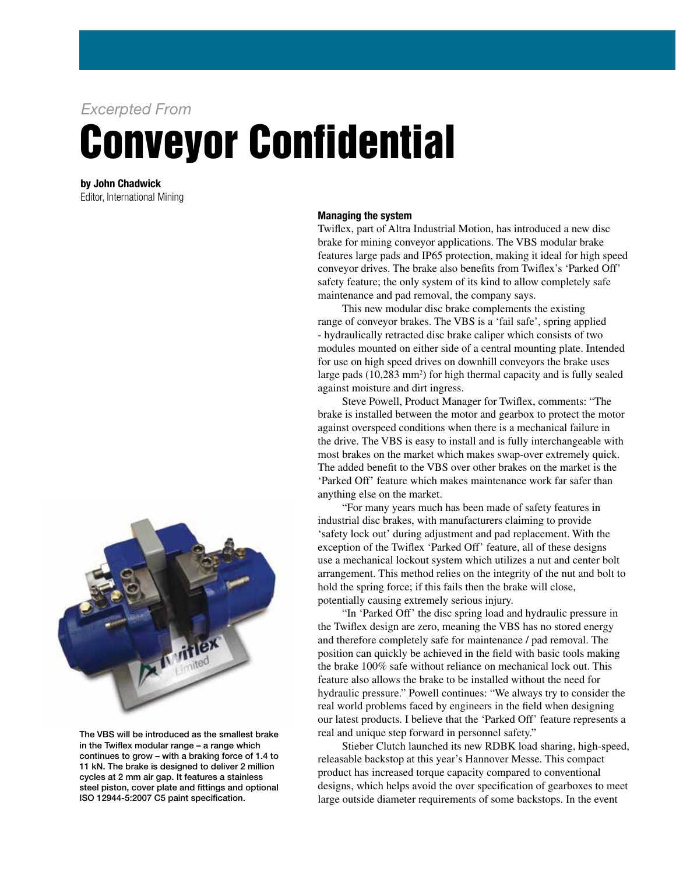*Excerpted From*

# Conveyor Confidential

by John Chadwick Editor, International Mining



The VBS will be introduced as the smallest brake in the Twiflex modular range – a range which continues to grow – with a braking force of 1.4 to 11 kN. The brake is designed to deliver 2 million cycles at 2 mm air gap. It features a stainless steel piston, cover plate and fittings and optional ISO 12944-5:2007 C5 paint specification.

#### Managing the system

Twiflex, part of Altra Industrial Motion, has introduced a new disc brake for mining conveyor applications. The VBS modular brake features large pads and IP65 protection, making it ideal for high speed conveyor drives. The brake also benefits from Twiflex's 'Parked Off' safety feature; the only system of its kind to allow completely safe maintenance and pad removal, the company says.

 This new modular disc brake complements the existing range of conveyor brakes. The VBS is a 'fail safe', spring applied - hydraulically retracted disc brake caliper which consists of two modules mounted on either side of a central mounting plate. Intended for use on high speed drives on downhill conveyors the brake uses large pads (10,283 mm<sup>2</sup>) for high thermal capacity and is fully sealed against moisture and dirt ingress.

 Steve Powell, Product Manager for Twiflex, comments: "The brake is installed between the motor and gearbox to protect the motor against overspeed conditions when there is a mechanical failure in the drive. The VBS is easy to install and is fully interchangeable with most brakes on the market which makes swap-over extremely quick. The added benefit to the VBS over other brakes on the market is the 'Parked Off' feature which makes maintenance work far safer than anything else on the market.

 "For many years much has been made of safety features in industrial disc brakes, with manufacturers claiming to provide 'safety lock out' during adjustment and pad replacement. With the exception of the Twiflex 'Parked Off' feature, all of these designs use a mechanical lockout system which utilizes a nut and center bolt arrangement. This method relies on the integrity of the nut and bolt to hold the spring force; if this fails then the brake will close, potentially causing extremely serious injury.

 "In 'Parked Off' the disc spring load and hydraulic pressure in the Twiflex design are zero, meaning the VBS has no stored energy and therefore completely safe for maintenance / pad removal. The position can quickly be achieved in the field with basic tools making the brake 100% safe without reliance on mechanical lock out. This feature also allows the brake to be installed without the need for hydraulic pressure." Powell continues: "We always try to consider the real world problems faced by engineers in the field when designing our latest products. I believe that the 'Parked Off' feature represents a real and unique step forward in personnel safety."

 Stieber Clutch launched its new RDBK load sharing, high-speed, releasable backstop at this year's Hannover Messe. This compact product has increased torque capacity compared to conventional designs, which helps avoid the over specification of gearboxes to meet large outside diameter requirements of some backstops. In the event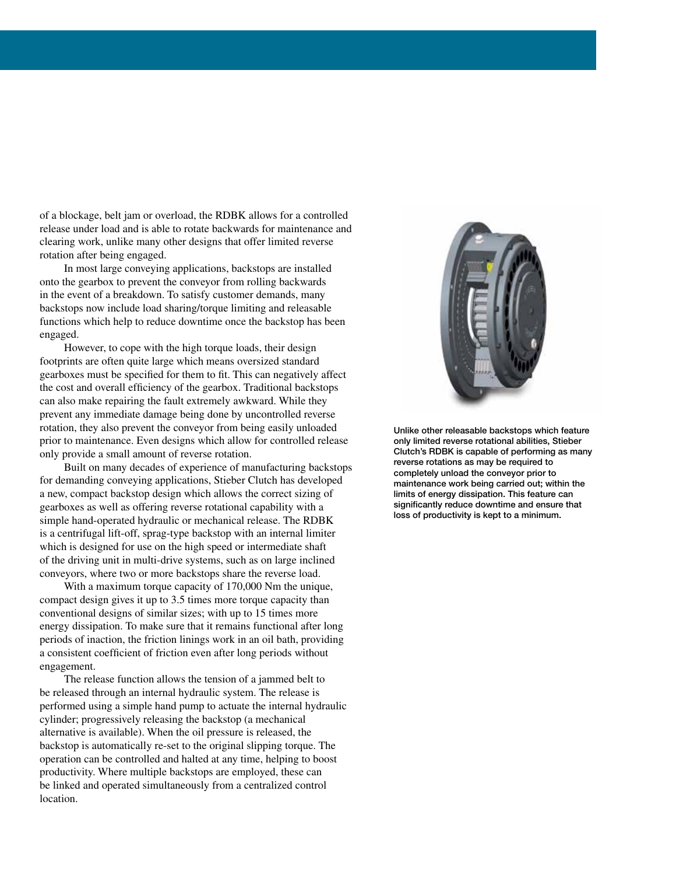of a blockage, belt jam or overload, the RDBK allows for a controlled release under load and is able to rotate backwards for maintenance and clearing work, unlike many other designs that offer limited reverse rotation after being engaged.

 In most large conveying applications, backstops are installed onto the gearbox to prevent the conveyor from rolling backwards in the event of a breakdown. To satisfy customer demands, many backstops now include load sharing/torque limiting and releasable functions which help to reduce downtime once the backstop has been engaged.

 However, to cope with the high torque loads, their design footprints are often quite large which means oversized standard gearboxes must be specified for them to fit. This can negatively affect the cost and overall efficiency of the gearbox. Traditional backstops can also make repairing the fault extremely awkward. While they prevent any immediate damage being done by uncontrolled reverse rotation, they also prevent the conveyor from being easily unloaded prior to maintenance. Even designs which allow for controlled release only provide a small amount of reverse rotation.

 Built on many decades of experience of manufacturing backstops for demanding conveying applications, Stieber Clutch has developed a new, compact backstop design which allows the correct sizing of gearboxes as well as offering reverse rotational capability with a simple hand-operated hydraulic or mechanical release. The RDBK is a centrifugal lift-off, sprag-type backstop with an internal limiter which is designed for use on the high speed or intermediate shaft of the driving unit in multi-drive systems, such as on large inclined conveyors, where two or more backstops share the reverse load.

 With a maximum torque capacity of 170,000 Nm the unique, compact design gives it up to 3.5 times more torque capacity than conventional designs of similar sizes; with up to 15 times more energy dissipation. To make sure that it remains functional after long periods of inaction, the friction linings work in an oil bath, providing a consistent coefficient of friction even after long periods without engagement.

 The release function allows the tension of a jammed belt to be released through an internal hydraulic system. The release is performed using a simple hand pump to actuate the internal hydraulic cylinder; progressively releasing the backstop (a mechanical alternative is available). When the oil pressure is released, the backstop is automatically re-set to the original slipping torque. The operation can be controlled and halted at any time, helping to boost productivity. Where multiple backstops are employed, these can be linked and operated simultaneously from a centralized control location.



Unlike other releasable backstops which feature only limited reverse rotational abilities, Stieber Clutch's RDBK is capable of performing as many reverse rotations as may be required to completely unload the conveyor prior to maintenance work being carried out; within the limits of energy dissipation. This feature can significantly reduce downtime and ensure that loss of productivity is kept to a minimum.